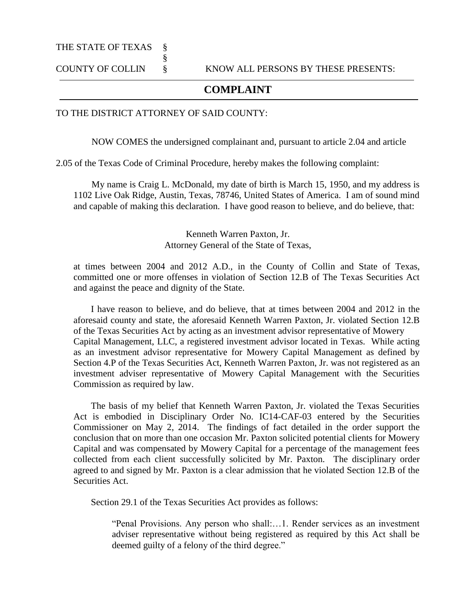## THE STATE OF TEXAS §

## **COMPLAINT**

## TO THE DISTRICT ATTORNEY OF SAID COUNTY:

§

NOW COMES the undersigned complainant and, pursuant to article 2.04 and article

2.05 of the Texas Code of Criminal Procedure, hereby makes the following complaint:

My name is Craig L. McDonald, my date of birth is March 15, 1950, and my address is 1102 Live Oak Ridge, Austin, Texas, 78746, United States of America. I am of sound mind and capable of making this declaration. I have good reason to believe, and do believe, that:

> Kenneth Warren Paxton, Jr. Attorney General of the State of Texas,

at times between 2004 and 2012 A.D., in the County of Collin and State of Texas, committed one or more offenses in violation of Section 12.B of The Texas Securities Act and against the peace and dignity of the State.

I have reason to believe, and do believe, that at times between 2004 and 2012 in the aforesaid county and state, the aforesaid Kenneth Warren Paxton, Jr. violated Section 12.B of the Texas Securities Act by acting as an investment advisor representative of Mowery Capital Management, LLC, a registered investment advisor located in Texas. While acting as an investment advisor representative for Mowery Capital Management as defined by Section 4.P of the Texas Securities Act, Kenneth Warren Paxton, Jr. was not registered as an investment adviser representative of Mowery Capital Management with the Securities Commission as required by law.

The basis of my belief that Kenneth Warren Paxton, Jr. violated the Texas Securities Act is embodied in Disciplinary Order No. IC14-CAF-03 entered by the Securities Commissioner on May 2, 2014. The findings of fact detailed in the order support the conclusion that on more than one occasion Mr. Paxton solicited potential clients for Mowery Capital and was compensated by Mowery Capital for a percentage of the management fees collected from each client successfully solicited by Mr. Paxton. The disciplinary order agreed to and signed by Mr. Paxton is a clear admission that he violated Section 12.B of the Securities Act.

Section 29.1 of the Texas Securities Act provides as follows:

"Penal Provisions. Any person who shall:…1. Render services as an investment adviser representative without being registered as required by this Act shall be deemed guilty of a felony of the third degree."